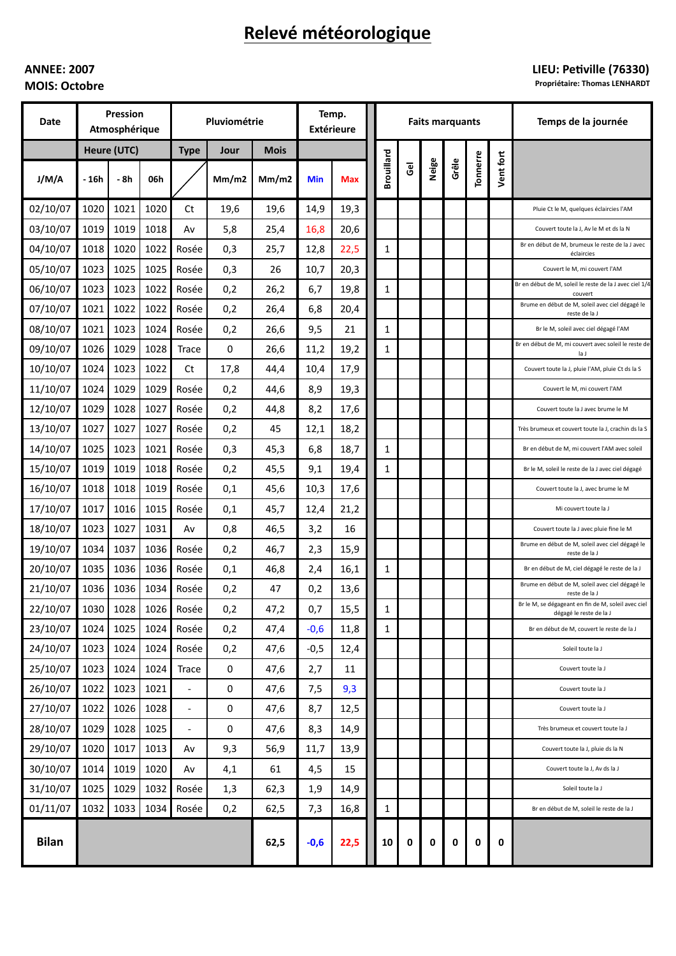# Relevé météorologique

## **ANNEE: 2007 MOIS: Octobre**

## LIEU: Petiville (76330)

**Propriétaire: Thomas LENHARDT** 

| Date         | Pression<br>Atmosphérique |      |      | Pluviométrie             |             |             | Temp.<br><b>Extérieure</b> |      | <b>Faits marquants</b> |                |       |       |          |           | Temps de la journée                                                            |
|--------------|---------------------------|------|------|--------------------------|-------------|-------------|----------------------------|------|------------------------|----------------|-------|-------|----------|-----------|--------------------------------------------------------------------------------|
|              | Heure (UTC)               |      |      | <b>Type</b>              | Jour        | <b>Mois</b> |                            |      |                        |                |       |       |          |           |                                                                                |
| J/M/A        | - 16h                     | - 8h | 06h  |                          | Mm/m2       | Mm/m2       | <b>Min</b>                 | Max  | <b>Brouillard</b>      | $\overline{6}$ | Neige | Grêle | Tonnerre | Vent fort |                                                                                |
| 02/10/07     | 1020                      | 1021 | 1020 | Ct                       | 19,6        | 19,6        | 14,9                       | 19,3 |                        |                |       |       |          |           | Pluie Ct le M, quelques éclaircies l'AM                                        |
| 03/10/07     | 1019                      | 1019 | 1018 | Av                       | 5,8         | 25,4        | 16,8                       | 20,6 |                        |                |       |       |          |           | Couvert toute la J, Av le M et ds la N                                         |
| 04/10/07     | 1018                      | 1020 | 1022 | Rosée                    | 0,3         | 25,7        | 12,8                       | 22,5 | $\mathbf{1}$           |                |       |       |          |           | Br en début de M, brumeux le reste de la J avec<br>éclaircies                  |
| 05/10/07     | 1023                      | 1025 | 1025 | Rosée                    | 0,3         | 26          | 10,7                       | 20,3 |                        |                |       |       |          |           | Couvert le M, mi couvert l'AM                                                  |
| 06/10/07     | 1023                      | 1023 | 1022 | Rosée                    | 0,2         | 26,2        | 6,7                        | 19,8 | $\mathbf{1}$           |                |       |       |          |           | Br en début de M, soleil le reste de la J avec ciel 1/4<br>couvert             |
| 07/10/07     | 1021                      | 1022 | 1022 | Rosée                    | 0,2         | 26,4        | 6,8                        | 20,4 |                        |                |       |       |          |           | Brume en début de M, soleil avec ciel dégagé le<br>reste de la J               |
| 08/10/07     | 1021                      | 1023 | 1024 | Rosée                    | 0,2         | 26,6        | 9,5                        | 21   | $\mathbf{1}$           |                |       |       |          |           | Br le M, soleil avec ciel dégagé l'AM                                          |
| 09/10/07     | 1026                      | 1029 | 1028 | Trace                    | 0           | 26,6        | 11,2                       | 19,2 | 1                      |                |       |       |          |           | Br en début de M, mi couvert avec soleil le reste de<br>la J                   |
| 10/10/07     | 1024                      | 1023 | 1022 | Ct                       | 17,8        | 44,4        | 10,4                       | 17,9 |                        |                |       |       |          |           | Couvert toute la J, pluie l'AM, pluie Ct ds la S                               |
| 11/10/07     | 1024                      | 1029 | 1029 | Rosée                    | 0,2         | 44,6        | 8,9                        | 19,3 |                        |                |       |       |          |           | Couvert le M, mi couvert l'AM                                                  |
| 12/10/07     | 1029                      | 1028 | 1027 | Rosée                    | 0,2         | 44,8        | 8,2                        | 17,6 |                        |                |       |       |          |           | Couvert toute la J avec brume le M                                             |
| 13/10/07     | 1027                      | 1027 | 1027 | Rosée                    | 0,2         | 45          | 12,1                       | 18,2 |                        |                |       |       |          |           | Très brumeux et couvert toute la J, crachin ds la S                            |
| 14/10/07     | 1025                      | 1023 | 1021 | Rosée                    | 0,3         | 45,3        | 6,8                        | 18,7 | $\mathbf{1}$           |                |       |       |          |           | Br en début de M, mi couvert l'AM avec soleil                                  |
| 15/10/07     | 1019                      | 1019 | 1018 | Rosée                    | 0,2         | 45,5        | 9,1                        | 19,4 | 1                      |                |       |       |          |           | Br le M, soleil le reste de la J avec ciel dégagé                              |
| 16/10/07     | 1018                      | 1018 | 1019 | Rosée                    | 0,1         | 45,6        | 10,3                       | 17,6 |                        |                |       |       |          |           | Couvert toute la J, avec brume le M                                            |
| 17/10/07     | 1017                      | 1016 | 1015 | Rosée                    | 0,1         | 45,7        | 12,4                       | 21,2 |                        |                |       |       |          |           | Mi couvert toute la J                                                          |
| 18/10/07     | 1023                      | 1027 | 1031 | Av                       | 0,8         | 46,5        | 3,2                        | 16   |                        |                |       |       |          |           | Couvert toute la J avec pluie fine le M                                        |
| 19/10/07     | 1034                      | 1037 | 1036 | Rosée                    | 0,2         | 46,7        | 2,3                        | 15,9 |                        |                |       |       |          |           | Brume en début de M, soleil avec ciel dégagé le<br>reste de la J               |
| 20/10/07     | 1035                      | 1036 | 1036 | Rosée                    | 0,1         | 46,8        | 2,4                        | 16,1 | $\mathbf{1}$           |                |       |       |          |           | Br en début de M, ciel dégagé le reste de la J                                 |
| 21/10/07     | 1036                      | 1036 | 1034 | Rosée                    | 0,2         | 47          | 0,2                        | 13,6 |                        |                |       |       |          |           | Brume en début de M, soleil avec ciel dégagé le<br>reste de la J               |
| 22/10/07     | 1030                      | 1028 |      | 1026 Rosée               | 0,2         | 47,2        | 0,7                        | 15,5 | 1                      |                |       |       |          |           | Br le M, se dégageant en fin de M, soleil avec ciel<br>dégagé le reste de la J |
| 23/10/07     | 1024                      | 1025 | 1024 | Rosée                    | 0,2         | 47,4        | $-0,6$                     | 11,8 | $\mathbf{1}$           |                |       |       |          |           | Br en début de M, couvert le reste de la J                                     |
| 24/10/07     | 1023                      | 1024 | 1024 | Rosée                    | 0,2         | 47,6        | $-0,5$                     | 12,4 |                        |                |       |       |          |           | Soleil toute la J                                                              |
| 25/10/07     | 1023                      | 1024 | 1024 | Trace                    | $\mathbf 0$ | 47,6        | 2,7                        | 11   |                        |                |       |       |          |           | Couvert toute la J                                                             |
| 26/10/07     | 1022                      | 1023 | 1021 | $\overline{\phantom{a}}$ | $\mathbf 0$ | 47,6        | 7,5                        | 9,3  |                        |                |       |       |          |           | Couvert toute la J                                                             |
| 27/10/07     | 1022                      | 1026 | 1028 | $\overline{\phantom{a}}$ | 0           | 47,6        | 8,7                        | 12,5 |                        |                |       |       |          |           | Couvert toute la J                                                             |
| 28/10/07     | 1029                      | 1028 | 1025 | $\overline{\phantom{a}}$ | 0           | 47,6        | 8,3                        | 14,9 |                        |                |       |       |          |           | Très brumeux et couvert toute la J                                             |
| 29/10/07     | 1020                      | 1017 | 1013 | Av                       | 9,3         | 56,9        | 11,7                       | 13,9 |                        |                |       |       |          |           | Couvert toute la J, pluie ds la N                                              |
| 30/10/07     | 1014                      | 1019 | 1020 | Av                       | 4,1         | 61          | 4,5                        | 15   |                        |                |       |       |          |           | Couvert toute la J, Av ds la J                                                 |
| 31/10/07     | 1025                      | 1029 | 1032 | Rosée                    | 1,3         | 62,3        | 1,9                        | 14,9 |                        |                |       |       |          |           | Soleil toute la J                                                              |
| 01/11/07     | 1032                      | 1033 | 1034 | Rosée                    | 0,2         | 62,5        | 7,3                        | 16,8 | $\mathbf{1}$           |                |       |       |          |           | Br en début de M, soleil le reste de la J                                      |
| <b>Bilan</b> |                           |      |      |                          |             | 62,5        | $-0,6$                     | 22,5 | 10                     | 0              | 0     | 0     | 0        | 0         |                                                                                |